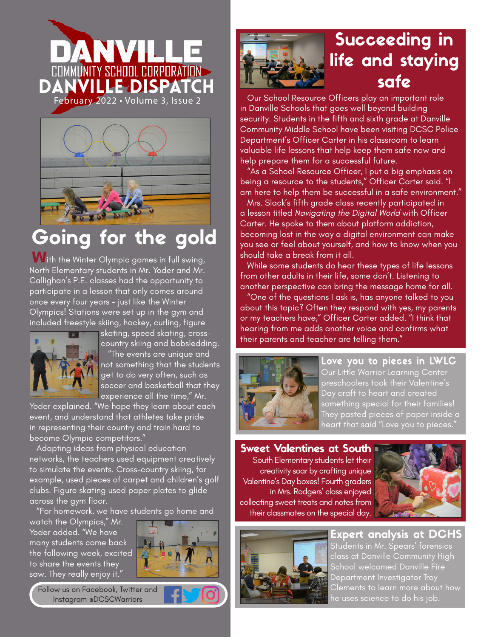



## Going for the gold

**W**ith the Winter Olympic games in full swing, North Elementary students in Mr. Yoder and Mr. Callighan's P.E. classes had the opportunity to participate in a lesson that only comes around once every four years - just like the Winter Olympics! Stations were set up in the gym and included freestyle skiing, hockey, curling, figure



skating, speed skating, crosscountry skiing and bobsledding. "The events are unique and not something that the students get to do very often, such as soccer and basketball that they experience all the time," Mr.

Yoder explained. "We hope they learn about each event, and understand that athletes take pride in representing their country and train hard to become Olympic competitors."

 Adapting ideas from physical education networks, the teachers used equipment creatively to simulate the events. Cross-country skiing, for example, used pieces of carpet and children's golf clubs. Figure skating used paper plates to glide across the gym floor.

"For homework, we have students go home and

watch the Olympics," Mr. Yoder added. "We have many students come back the following week, excited to share the events they saw. They really enjoy it."

ľ



Follow us on Facebook, Twitter and Instagram @DCSCWarriors



## Succeeding in life and staying safe

 Our School Resource Officers play an important role in Danville Schools that goes well beyond building security. Students in the fifth and sixth arade at Danville Community Middle School have been visiting DCSC Police Department's Officer Carter in his classroom to learn valuable life lessons that help keep them safe now and help prepare them for a successful future.

 "As a School Resource Officer, I put a big emphasis on being a resource to the students," Officer Carter said. "I am here to help them be successful in a safe environment."

 Mrs. Slack's fifth grade class recently participated in a lesson titled *Navigating the Digital World* with Officer Carter. He spoke to them about platform addiction, becoming lost in the way a digital environment can make you see or feel about yourself, and how to know when you should take a break from it all.

 While some students do hear these types of life lessons from other adults in their life, some don't. Listening to another perspective can bring the message home for all.

 "One of the questions I ask is, has anyone talked to you about this topic? Often they respond with yes, my parents or my teachers have," Officer Carter added. "I think that hearing from me adds another voice and confirms what their parents and teacher are telling them."



Love you to pieces in LWLC Our Little Warrior Learning Center preschoolers took their Valentine's Day craft to heart and created something special for their families! They pasted pieces of paper inside a heart that said "Love you to pieces.

Sweet Valentines at South South Elementary students let their creativity soar by crafting unique Valentine's Day boxes! Fourth graders in Mrs. Rodgers' class enjoyed collecting sweet treats and notes from their classmates on the special day.





Expert analysis at DCHS Students in Mr. Spears' forensics class at Danville Community High School welcomed Danville Fire Department Investigator Troy Clements to learn more about how

he uses science to do his job.